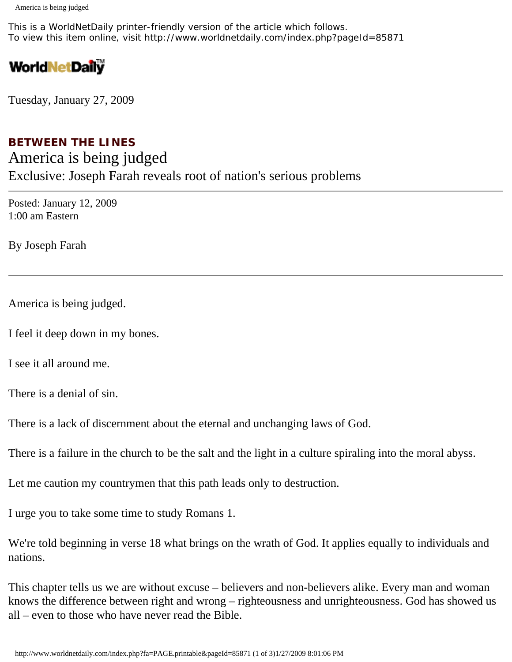This is a WorldNetDaily printer-friendly version of the article which follows. To view this item online, visit http://www.worldnetdaily.com/index.php?pageId=85871

## **WorldNetDaily**

Tuesday, January 27, 2009

## **BETWEEN THE LINES** America is being judged Exclusive: Joseph Farah reveals root of nation's serious problems

Posted: January 12, 2009 1:00 am Eastern

By Joseph Farah

America is being judged.

I feel it deep down in my bones.

I see it all around me.

There is a denial of sin.

There is a lack of discernment about the eternal and unchanging laws of God.

There is a failure in the church to be the salt and the light in a culture spiraling into the moral abyss.

Let me caution my countrymen that this path leads only to destruction.

I urge you to take some time to study Romans 1.

We're told beginning in verse 18 what brings on the wrath of God. It applies equally to individuals and nations.

This chapter tells us we are without excuse – believers and non-believers alike. Every man and woman knows the difference between right and wrong – righteousness and unrighteousness. God has showed us all – even to those who have never read the Bible.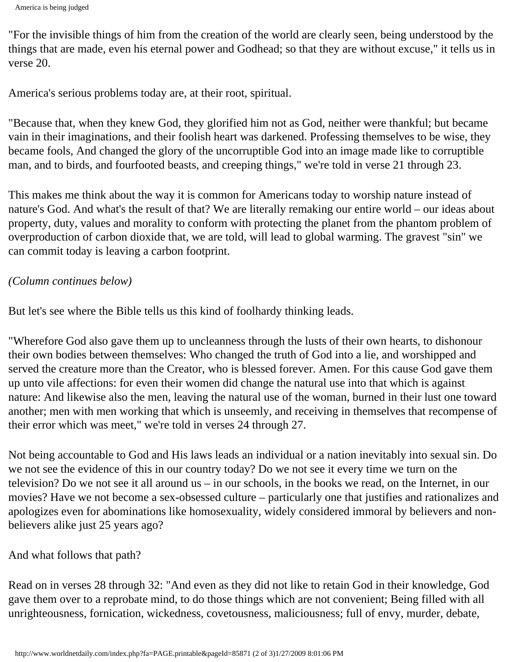```
America is being judged
```
"For the invisible things of him from the creation of the world are clearly seen, being understood by the things that are made, even his eternal power and Godhead; so that they are without excuse," it tells us in verse 20.

America's serious problems today are, at their root, spiritual.

"Because that, when they knew God, they glorified him not as God, neither were thankful; but became vain in their imaginations, and their foolish heart was darkened. Professing themselves to be wise, they became fools, And changed the glory of the uncorruptible God into an image made like to corruptible man, and to birds, and fourfooted beasts, and creeping things," we're told in verse 21 through 23.

This makes me think about the way it is common for Americans today to worship nature instead of nature's God. And what's the result of that? We are literally remaking our entire world – our ideas about property, duty, values and morality to conform with protecting the planet from the phantom problem of overproduction of carbon dioxide that, we are told, will lead to global warming. The gravest "sin" we can commit today is leaving a carbon footprint.

## *(Column continues below)*

But let's see where the Bible tells us this kind of foolhardy thinking leads.

"Wherefore God also gave them up to uncleanness through the lusts of their own hearts, to dishonour their own bodies between themselves: Who changed the truth of God into a lie, and worshipped and served the creature more than the Creator, who is blessed forever. Amen. For this cause God gave them up unto vile affections: for even their women did change the natural use into that which is against nature: And likewise also the men, leaving the natural use of the woman, burned in their lust one toward another; men with men working that which is unseemly, and receiving in themselves that recompense of their error which was meet," we're told in verses 24 through 27.

Not being accountable to God and His laws leads an individual or a nation inevitably into sexual sin. Do we not see the evidence of this in our country today? Do we not see it every time we turn on the television? Do we not see it all around us – in our schools, in the books we read, on the Internet, in our movies? Have we not become a sex-obsessed culture – particularly one that justifies and rationalizes and apologizes even for abominations like homosexuality, widely considered immoral by believers and nonbelievers alike just 25 years ago?

And what follows that path?

Read on in verses 28 through 32: "And even as they did not like to retain God in their knowledge, God gave them over to a reprobate mind, to do those things which are not convenient; Being filled with all unrighteousness, fornication, wickedness, covetousness, maliciousness; full of envy, murder, debate,